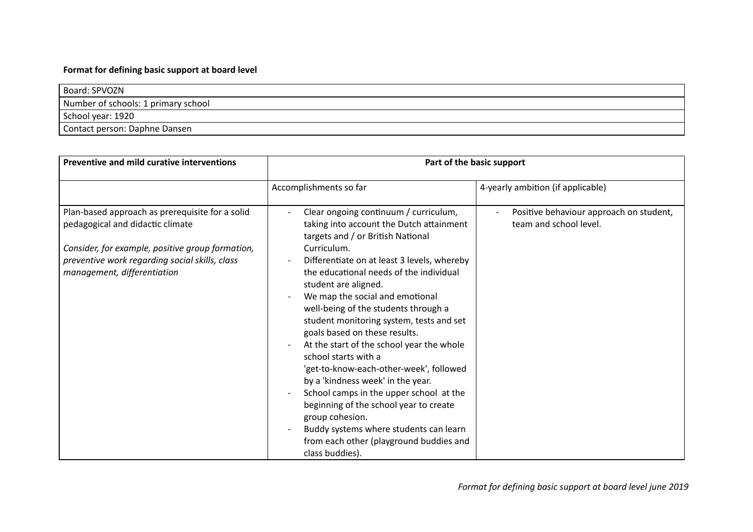## **Format for defining basic support at board level**

| Board: SPVOZN                       |
|-------------------------------------|
| Number of schools: 1 primary school |
| School year: 1920                   |
| Contact person: Daphne Dansen       |

| <b>Preventive and mild curative interventions</b>                                                                                                                                                                        | Part of the basic support                                                                                                                                                                                                                                                                                                                                                                                                                                                                                                                                                                                                                                                                                                                                                                                                                            |                                                                   |
|--------------------------------------------------------------------------------------------------------------------------------------------------------------------------------------------------------------------------|------------------------------------------------------------------------------------------------------------------------------------------------------------------------------------------------------------------------------------------------------------------------------------------------------------------------------------------------------------------------------------------------------------------------------------------------------------------------------------------------------------------------------------------------------------------------------------------------------------------------------------------------------------------------------------------------------------------------------------------------------------------------------------------------------------------------------------------------------|-------------------------------------------------------------------|
|                                                                                                                                                                                                                          | Accomplishments so far                                                                                                                                                                                                                                                                                                                                                                                                                                                                                                                                                                                                                                                                                                                                                                                                                               | 4-yearly ambition (if applicable)                                 |
| Plan-based approach as prerequisite for a solid<br>pedagogical and didactic climate<br>Consider, for example, positive group formation,<br>preventive work regarding social skills, class<br>management, differentiation | Clear ongoing continuum / curriculum,<br>$\overline{a}$<br>taking into account the Dutch attainment<br>targets and / or British National<br>Curriculum.<br>Differentiate on at least 3 levels, whereby<br>the educational needs of the individual<br>student are aligned.<br>We map the social and emotional<br>well-being of the students through a<br>student monitoring system, tests and set<br>goals based on these results.<br>At the start of the school year the whole<br>$\overline{a}$<br>school starts with a<br>'get-to-know-each-other-week', followed<br>by a 'kindness week' in the year.<br>School camps in the upper school at the<br>$\overline{\phantom{a}}$<br>beginning of the school year to create<br>group cohesion.<br>Buddy systems where students can learn<br>from each other (playground buddies and<br>class buddies). | Positive behaviour approach on student,<br>team and school level. |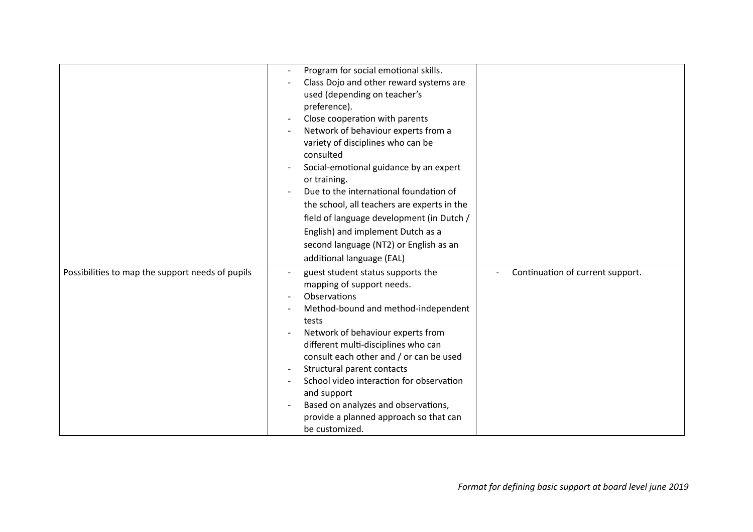|                                                  | Program for social emotional skills.<br>Class Dojo and other reward systems are<br>used (depending on teacher's<br>preference).<br>Close cooperation with parents<br>Network of behaviour experts from a<br>variety of disciplines who can be<br>consulted<br>Social-emotional guidance by an expert<br>or training.<br>Due to the international foundation of<br>the school, all teachers are experts in the<br>field of language development (in Dutch /<br>English) and implement Dutch as a<br>second language (NT2) or English as an<br>additional language (EAL) |                                  |
|--------------------------------------------------|------------------------------------------------------------------------------------------------------------------------------------------------------------------------------------------------------------------------------------------------------------------------------------------------------------------------------------------------------------------------------------------------------------------------------------------------------------------------------------------------------------------------------------------------------------------------|----------------------------------|
| Possibilities to map the support needs of pupils | guest student status supports the<br>mapping of support needs.<br>Observations<br>Method-bound and method-independent<br>tests<br>Network of behaviour experts from<br>different multi-disciplines who can<br>consult each other and / or can be used<br>Structural parent contacts<br>School video interaction for observation<br>and support<br>Based on analyzes and observations,<br>provide a planned approach so that can<br>be customized.                                                                                                                      | Continuation of current support. |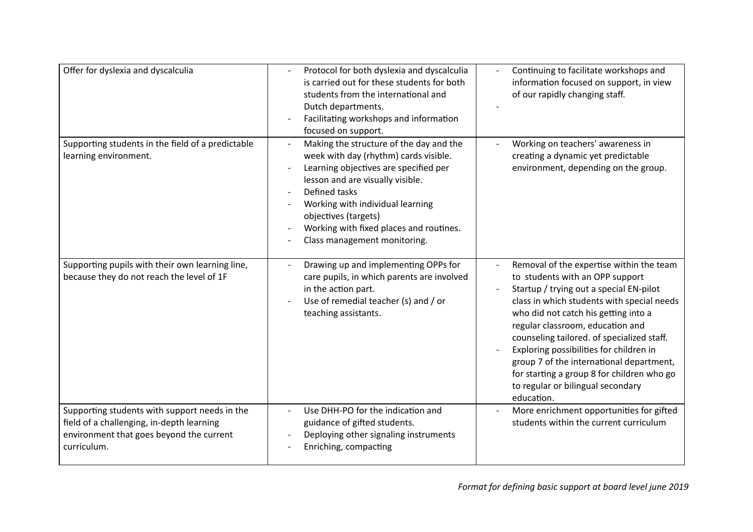| Offer for dyslexia and dyscalculia                                                                                                                    | Protocol for both dyslexia and dyscalculia<br>is carried out for these students for both<br>students from the international and<br>Dutch departments.<br>Facilitating workshops and information<br>focused on support.                                                                                                | Continuing to facilitate workshops and<br>information focused on support, in view<br>of our rapidly changing staff.                                                                                                                                                                                                                                                                                                                                                                    |
|-------------------------------------------------------------------------------------------------------------------------------------------------------|-----------------------------------------------------------------------------------------------------------------------------------------------------------------------------------------------------------------------------------------------------------------------------------------------------------------------|----------------------------------------------------------------------------------------------------------------------------------------------------------------------------------------------------------------------------------------------------------------------------------------------------------------------------------------------------------------------------------------------------------------------------------------------------------------------------------------|
| Supporting students in the field of a predictable<br>learning environment.                                                                            | Making the structure of the day and the<br>week with day (rhythm) cards visible.<br>Learning objectives are specified per<br>lesson and are visually visible.<br>Defined tasks<br>Working with individual learning<br>objectives (targets)<br>Working with fixed places and routines.<br>Class management monitoring. | Working on teachers' awareness in<br>creating a dynamic yet predictable<br>environment, depending on the group.                                                                                                                                                                                                                                                                                                                                                                        |
| Supporting pupils with their own learning line,<br>because they do not reach the level of 1F                                                          | Drawing up and implementing OPPs for<br>care pupils, in which parents are involved<br>in the action part.<br>Use of remedial teacher (s) and / or<br>teaching assistants.                                                                                                                                             | Removal of the expertise within the team<br>to students with an OPP support<br>Startup / trying out a special EN-pilot<br>class in which students with special needs<br>who did not catch his getting into a<br>regular classroom, education and<br>counseling tailored. of specialized staff.<br>Exploring possibilities for children in<br>group 7 of the international department,<br>for starting a group 8 for children who go<br>to regular or bilingual secondary<br>education. |
| Supporting students with support needs in the<br>field of a challenging, in-depth learning<br>environment that goes beyond the current<br>curriculum. | Use DHH-PO for the indication and<br>guidance of gifted students.<br>Deploying other signaling instruments<br>Enriching, compacting                                                                                                                                                                                   | More enrichment opportunities for gifted<br>students within the current curriculum                                                                                                                                                                                                                                                                                                                                                                                                     |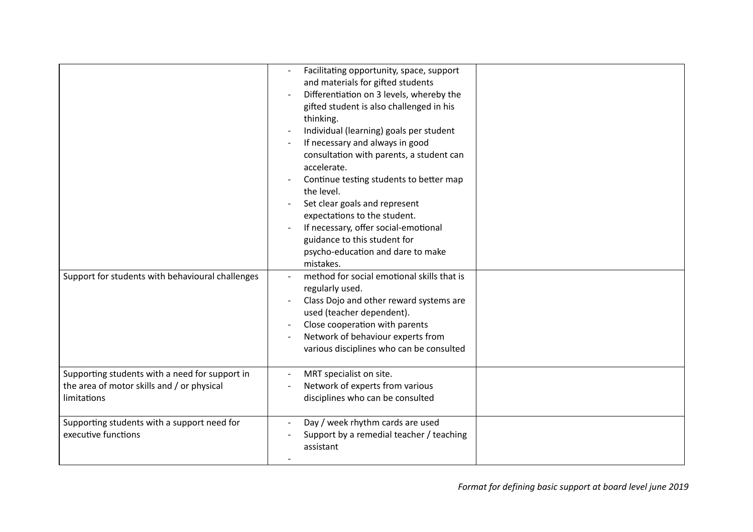| Support for students with behavioural challenges                                                            | Facilitating opportunity, space, support<br>and materials for gifted students<br>Differentiation on 3 levels, whereby the<br>gifted student is also challenged in his<br>thinking.<br>Individual (learning) goals per student<br>If necessary and always in good<br>consultation with parents, a student can<br>accelerate.<br>Continue testing students to better map<br>the level.<br>Set clear goals and represent<br>expectations to the student.<br>If necessary, offer social-emotional<br>guidance to this student for<br>psycho-education and dare to make<br>mistakes.<br>method for social emotional skills that is |  |
|-------------------------------------------------------------------------------------------------------------|-------------------------------------------------------------------------------------------------------------------------------------------------------------------------------------------------------------------------------------------------------------------------------------------------------------------------------------------------------------------------------------------------------------------------------------------------------------------------------------------------------------------------------------------------------------------------------------------------------------------------------|--|
|                                                                                                             | regularly used.<br>Class Dojo and other reward systems are<br>used (teacher dependent).<br>Close cooperation with parents<br>Network of behaviour experts from<br>various disciplines who can be consulted                                                                                                                                                                                                                                                                                                                                                                                                                    |  |
| Supporting students with a need for support in<br>the area of motor skills and / or physical<br>limitations | MRT specialist on site.<br>Network of experts from various<br>disciplines who can be consulted                                                                                                                                                                                                                                                                                                                                                                                                                                                                                                                                |  |
| Supporting students with a support need for<br>executive functions                                          | Day / week rhythm cards are used<br>Support by a remedial teacher / teaching<br>assistant                                                                                                                                                                                                                                                                                                                                                                                                                                                                                                                                     |  |